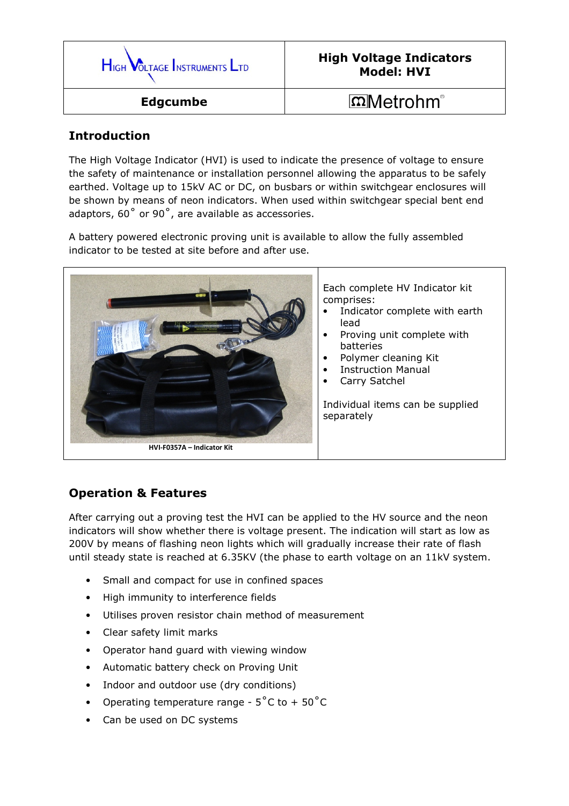

## High Voltage Indicators Model: HVI

## Introduction

The High Voltage Indicator (HVI) is used to indicate the presence of voltage to ensure the safety of maintenance or installation personnel allowing the apparatus to be safely earthed. Voltage up to 15kV AC or DC, on busbars or within switchgear enclosures will be shown by means of neon indicators. When used within switchgear special bent end adaptors, 60˚ or 90˚, are available as accessories.

A battery powered electronic proving unit is available to allow the fully assembled indicator to be tested at site before and after use.



## Operation & Features

After carrying out a proving test the HVI can be applied to the HV source and the neon indicators will show whether there is voltage present. The indication will start as low as 200V by means of flashing neon lights which will gradually increase their rate of flash until steady state is reached at 6.35KV (the phase to earth voltage on an 11kV system.

- Small and compact for use in confined spaces
- High immunity to interference fields
- Utilises proven resistor chain method of measurement
- Clear safety limit marks
- Operator hand guard with viewing window
- Automatic battery check on Proving Unit
- Indoor and outdoor use (dry conditions)
- Operating temperature range  $5^{\circ}$ C to +  $50^{\circ}$ C
- Can be used on DC systems